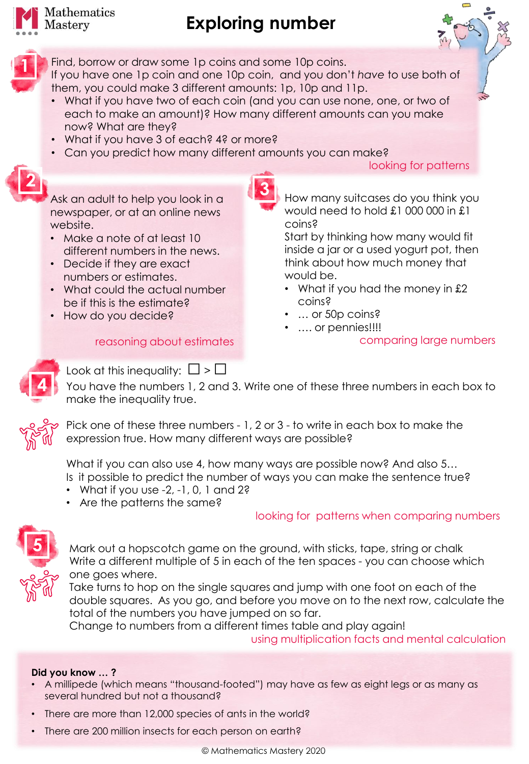

**1**

**2**

# **Exploring number**



Find, borrow or draw some 1p coins and some 10p coins. If you have one 1p coin and one 10p coin, and you don't *have* to use both of them, you could make 3 different amounts: 1p, 10p and 11p.

• What if you have two of each coin (and you can use none, one, or two of each to make an amount)? How many different amounts can you make now? What are they?

**3**

- What if you have 3 of each? 4? or more?
- Can you predict how many different amounts you can make?

#### looking for patterns



- Make a note of at least 10 different numbers in the news.
- Decide if they are exact numbers or estimates.
- What could the actual number be if this is the estimate?
- How do you decide?

### reasoning about estimates

How many suitcases do you think you would need to hold £1 000 000 in £1 coins?

Start by thinking how many would fit inside a jar or a used yogurt pot, then think about how much money that would be.

- What if you had the money in £2 coins?
- … or 50p coins?
	- …. or pennies!!!!

comparing large numbers



Look at this inequality:  $\square > \square$ You have the numbers 1, 2 and 3. Write one of these three numbers in each box to make the inequality true.



Pick one of these three numbers - 1, 2 or 3 - to write in each box to make the expression true. How many different ways are possible?

What if you can also use 4, how many ways are possible now? And also 5... Is it possible to predict the number of ways you can make the sentence true?

- What if you use  $-2$ ,  $-1$ , 0, 1 and 2?
- Are the patterns the same?

### looking for patterns when comparing numbers



Mark out a hopscotch game on the ground, with sticks, tape, string or chalk Write a different multiple of 5 in each of the ten spaces - you can choose which one goes where.

Take turns to hop on the single squares and jump with one foot on each of the double squares. As you go, and before you move on to the next row, calculate the total of the numbers you have jumped on so far.

Change to numbers from a different times table and play again! using multiplication facts and mental calculation

### **Did you know … ?**

- A millipede (which means "thousand-footed") may have as few as eight legs or as many as several hundred but not a thousand?
- There are more than 12,000 species of ants in the world?
- There are 200 million insects for each person on earth?